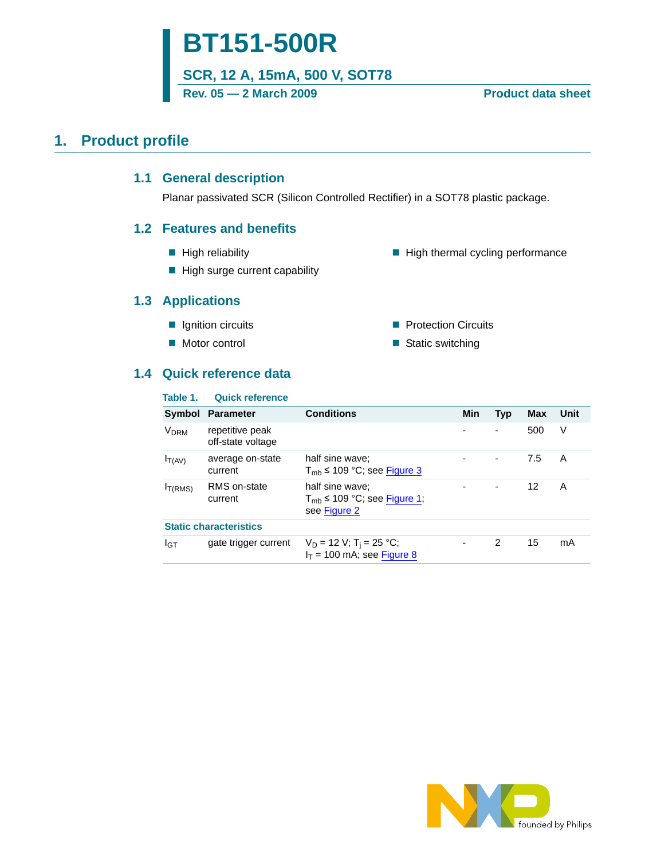# **BT151-500R**

**SCR, 12 A, 15mA, 500 V, SOT78**

Rev. 05 - 2 March 2009 **Product data sheet** 

### <span id="page-0-1"></span><span id="page-0-0"></span>**1. Product profile**

### **1.1 General description**

Planar passivated SCR (Silicon Controlled Rectifier) in a SOT78 plastic package.

### <span id="page-0-2"></span>**1.2 Features and benefits**

 $\blacksquare$  High reliability

 $\blacksquare$  High thermal cycling performance

**Protection Circuits** ■ Static switching

 $\blacksquare$  High surge current capability

### <span id="page-0-3"></span>**1.3 Applications**

- **I** Ignition circuits
- Motor control

## <span id="page-0-4"></span>**1.4 Quick reference data**

| Table 1.             | <b>Quick reference</b>               |                                                                         |            |            |            |      |
|----------------------|--------------------------------------|-------------------------------------------------------------------------|------------|------------|------------|------|
| Symbol               | <b>Parameter</b>                     | <b>Conditions</b>                                                       | <b>Min</b> | <b>Typ</b> | <b>Max</b> | Unit |
| V <sub>DRM</sub>     | repetitive peak<br>off-state voltage |                                                                         |            |            | 500        | V    |
| $I_{T(AV)}$          | average on-state<br>current          | half sine wave:<br>$T_{\rm mb} \leq 109$ °C; see Figure 3               |            |            | 7.5        | A    |
| I <sub>T</sub> (RMS) | RMS on-state<br>current              | half sine wave:<br>$T_{\rm mb}$ ≤ 109 °C; see Figure 1;<br>see Figure 2 |            |            | 12         | A    |
|                      | <b>Static characteristics</b>        |                                                                         |            |            |            |      |
| <b>I</b> GT          | gate trigger current                 | $V_D = 12 V$ ; T <sub>i</sub> = 25 °C;<br>$I_T = 100$ mA; see Figure 8  | -          | 2          | 15         | mA   |

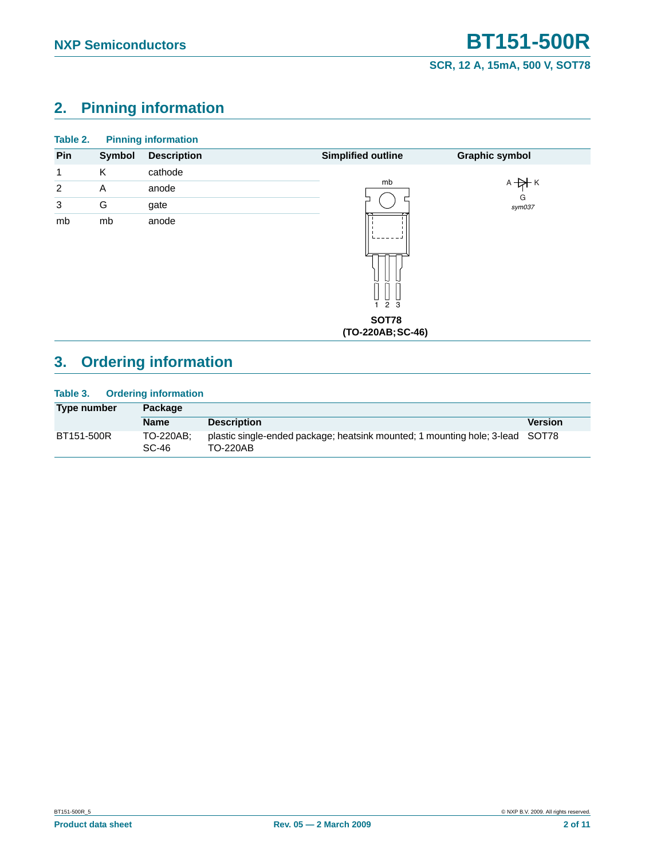## <span id="page-1-0"></span>**2. Pinning information**

| Table 2.       |        | <b>Pinning information</b> |                                          |                       |
|----------------|--------|----------------------------|------------------------------------------|-----------------------|
| Pin            | Symbol | <b>Description</b>         | <b>Simplified outline</b>                | <b>Graphic symbol</b> |
| 1              | K      | cathode                    |                                          |                       |
| $\overline{2}$ | Α      | anode                      | mb                                       | $A + A$ $K$           |
| 3              | G      | gate                       |                                          | G<br>sym037           |
| mb             | mb     | anode                      | 2 3<br><b>SOT78</b><br>(TO-220AB; SC-46) |                       |

## <span id="page-1-1"></span>**3. Ordering information**

### **Table 3. Ordering information**

| Type number | Package              |                                                                                                  |                |
|-------------|----------------------|--------------------------------------------------------------------------------------------------|----------------|
|             | <b>Name</b>          | <b>Description</b>                                                                               | <b>Version</b> |
| BT151-500R  | TO-220AB:<br>$SC-46$ | plastic single-ended package; heatsink mounted; 1 mounting hole; 3-lead SOT78<br><b>TO-220AB</b> |                |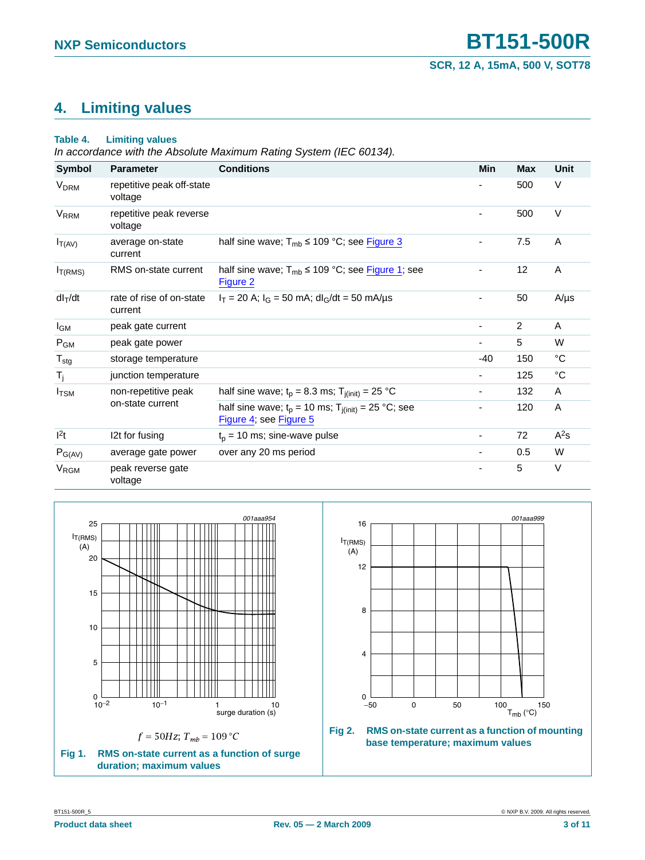## <span id="page-2-2"></span>**4. Limiting values**

#### **Table 4. Limiting values**

*In accordance with the Absolute Maximum Rating System (IEC 60134).*

| <b>Symbol</b>          | <b>Parameter</b>                     | <b>Conditions</b>                                                                  | Min                      | <b>Max</b> | Unit        |
|------------------------|--------------------------------------|------------------------------------------------------------------------------------|--------------------------|------------|-------------|
| <b>V<sub>DRM</sub></b> | repetitive peak off-state<br>voltage |                                                                                    |                          | 500        | V           |
| <b>V<sub>RRM</sub></b> | repetitive peak reverse<br>voltage   |                                                                                    |                          | 500        | $\vee$      |
| $I_{T(AV)}$            | average on-state<br>current          | half sine wave; $T_{mb} \le 109$ °C; see Figure 3                                  | $\overline{\phantom{0}}$ | 7.5        | A           |
| I <sub>T(RMS)</sub>    | RMS on-state current                 | half sine wave; $T_{mb} \le 109$ °C; see Figure 1; see<br>Figure 2                 |                          | 12         | A           |
| $dl_T/dt$              | rate of rise of on-state<br>current  | $I_T$ = 20 A; $I_G$ = 50 mA; dl <sub>G</sub> /dt = 50 mA/µs                        |                          | 50         | $A/\mu s$   |
| l <sub>GM</sub>        | peak gate current                    |                                                                                    | $\overline{\phantom{a}}$ | 2          | A           |
| $P_{GM}$               | peak gate power                      |                                                                                    | ٠                        | 5          | W           |
| $T_{\text{stg}}$       | storage temperature                  |                                                                                    | -40                      | 150        | °C          |
| T <sub>j</sub>         | junction temperature                 |                                                                                    | $\overline{\phantom{a}}$ | 125        | $^{\circ}C$ |
| $I_{\text{TSM}}$       | non-repetitive peak                  | half sine wave; $t_p = 8.3$ ms; $T_{i(int)} = 25$ °C                               | ۰                        | 132        | A           |
|                        | on-state current                     | half sine wave; $t_p = 10$ ms; $T_{j(int)} = 25$ °C; see<br>Figure 4; see Figure 5 |                          | 120        | A           |
| $ ^{2}t$               | 12t for fusing                       | $t_p = 10$ ms; sine-wave pulse                                                     | $\overline{\phantom{a}}$ | 72         | $A^2s$      |
| $P_{G(AV)}$            | average gate power                   | over any 20 ms period                                                              | ۰                        | 0.5        | W           |
| <b>V<sub>RGM</sub></b> | peak reverse gate<br>voltage         |                                                                                    | ٠                        | 5          | $\vee$      |

<span id="page-2-0"></span>

<span id="page-2-1"></span>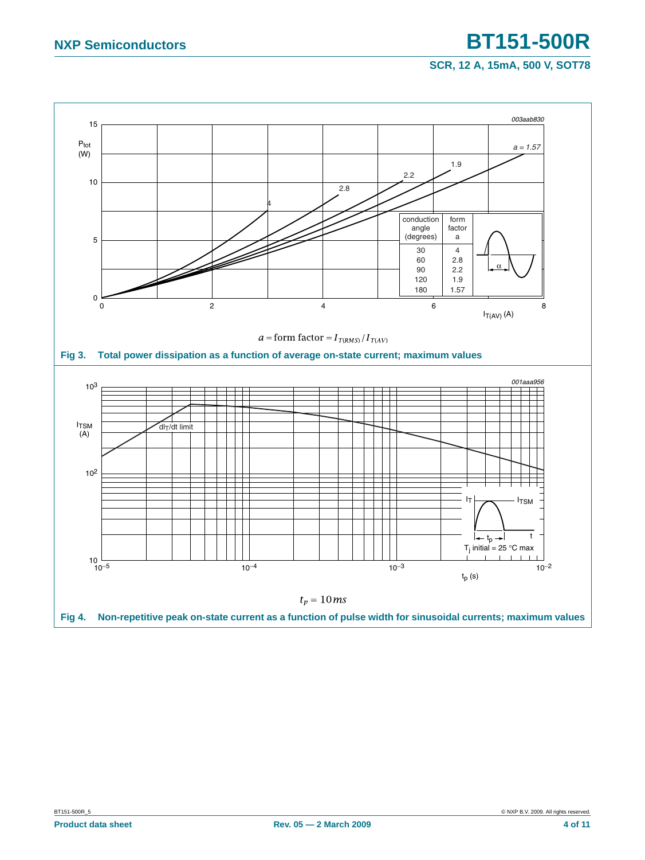**SCR, 12 A, 15mA, 500 V, SOT78**

<span id="page-3-1"></span><span id="page-3-0"></span>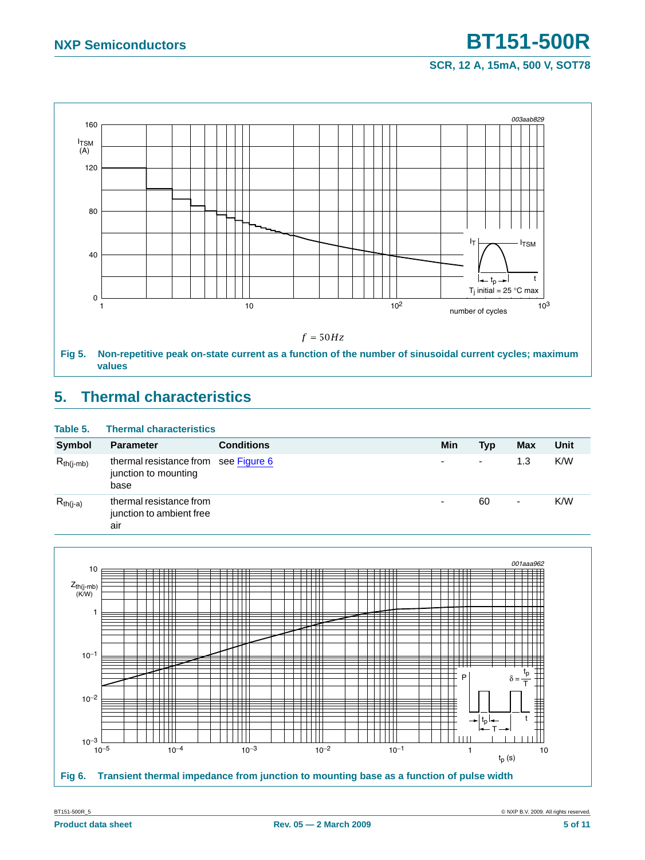### **SCR, 12 A, 15mA, 500 V, SOT78**



## <span id="page-4-2"></span><span id="page-4-0"></span>**5. Thermal characteristics**

| Table 5.       | <b>Thermal characteristics</b>                                       |                   |     |                          |            |      |
|----------------|----------------------------------------------------------------------|-------------------|-----|--------------------------|------------|------|
| <b>Symbol</b>  | <b>Parameter</b>                                                     | <b>Conditions</b> | Min | Typ                      | <b>Max</b> | Unit |
| $R_{th(i-mb)}$ | thermal resistance from see Figure 6<br>junction to mounting<br>base |                   | ۰   | $\overline{\phantom{a}}$ | 1.3        | K/W  |
| $R_{th(j-a)}$  | thermal resistance from<br>junction to ambient free<br>air           |                   | ۰   | 60                       | ٠          | K/W  |



<span id="page-4-1"></span>BT151-500R\_5 © NXP B.V. 2009. All rights reserved.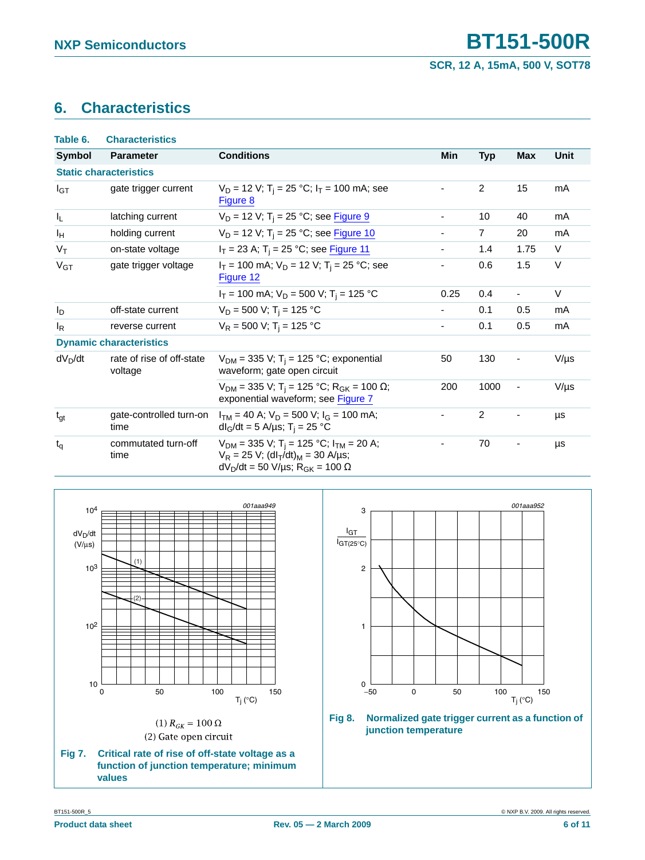## <span id="page-5-2"></span>**6. Characteristics**

| Table 6.         | <b>Characteristics</b>               |                                                                                                                                                                                               |      |                |                |           |
|------------------|--------------------------------------|-----------------------------------------------------------------------------------------------------------------------------------------------------------------------------------------------|------|----------------|----------------|-----------|
| Symbol           | <b>Parameter</b>                     | <b>Conditions</b>                                                                                                                                                                             | Min  | <b>Typ</b>     | <b>Max</b>     | Unit      |
|                  | <b>Static characteristics</b>        |                                                                                                                                                                                               |      |                |                |           |
| $I_{GT}$         | gate trigger current                 | $V_D$ = 12 V; T <sub>i</sub> = 25 °C; I <sub>T</sub> = 100 mA; see<br>Figure 8                                                                                                                |      | $\overline{c}$ | 15             | mA        |
| $I_{\mathsf{L}}$ | latching current                     | $V_D$ = 12 V; T <sub>i</sub> = 25 °C; see Figure 9                                                                                                                                            | -    | 10             | 40             | mA        |
| Iн               | holding current                      | $V_D = 12 V$ ; T <sub>i</sub> = 25 °C; see Figure 10                                                                                                                                          | ۰.   | $\overline{7}$ | 20             | mA        |
| $V_T$            | on-state voltage                     | $I_T$ = 23 A; T <sub>i</sub> = 25 °C; see Figure 11                                                                                                                                           | ۰.   | 1.4            | 1.75           | V         |
| $V_{GT}$         | gate trigger voltage                 | $I_T$ = 100 mA; $V_D$ = 12 V; T <sub>i</sub> = 25 °C; see<br>Figure 12                                                                                                                        | -    | 0.6            | 1.5            | V         |
|                  |                                      | $I_T$ = 100 mA; $V_D$ = 500 V; T <sub>i</sub> = 125 °C                                                                                                                                        | 0.25 | 0.4            | $\blacksquare$ | V         |
| Ιp               | off-state current                    | $V_D = 500$ V; T <sub>i</sub> = 125 °C                                                                                                                                                        | ۰.   | 0.1            | 0.5            | mA        |
| $I_R$            | reverse current                      | $V_R = 500$ V; T <sub>i</sub> = 125 °C                                                                                                                                                        | Ξ.   | 0.1            | 0.5            | mA        |
|                  | <b>Dynamic characteristics</b>       |                                                                                                                                                                                               |      |                |                |           |
| $dV_D/dt$        | rate of rise of off-state<br>voltage | $V_{DM}$ = 335 V; T <sub>i</sub> = 125 °C; exponential<br>waveform; gate open circuit                                                                                                         | 50   | 130            |                | $V/\mu s$ |
|                  |                                      | $V_{DM}$ = 335 V; T <sub>i</sub> = 125 °C; R <sub>GK</sub> = 100 Ω;<br>exponential waveform; see Figure 7                                                                                     | 200  | 1000           | $\blacksquare$ | $V/\mu s$ |
| $t_{gt}$         | gate-controlled turn-on<br>time      | $I_{TM}$ = 40 A; $V_D$ = 500 V; $I_G$ = 100 mA;<br>$dl_G/dt = 5$ A/µs; T <sub>i</sub> = 25 °C                                                                                                 |      | $\overline{2}$ | $\overline{a}$ | μs        |
| $t_q$            | commutated turn-off<br>time          | $V_{DM}$ = 335 V; T <sub>i</sub> = 125 °C; I <sub>TM</sub> = 20 A;<br>$V_R = 25 V$ ; (dl <sub>T</sub> /dt) <sub>M</sub> = 30 A/µs;<br>$dV_D/dt = 50 V/\mu s$ ; R <sub>GK</sub> = 100 $\Omega$ |      | 70             | $\overline{a}$ | μs        |

<span id="page-5-1"></span>



<span id="page-5-0"></span>**Fig 8. Normalized gate trigger current as a function of junction temperature**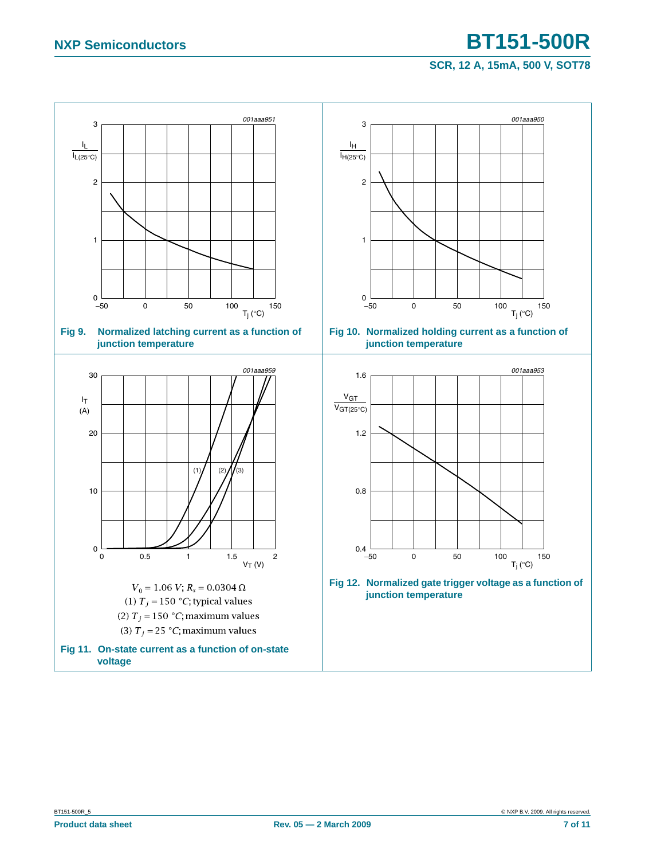## **NXP Semiconductors BT151-500R**

### <span id="page-6-3"></span><span id="page-6-1"></span>**SCR, 12 A, 15mA, 500 V, SOT78**

<span id="page-6-2"></span><span id="page-6-0"></span>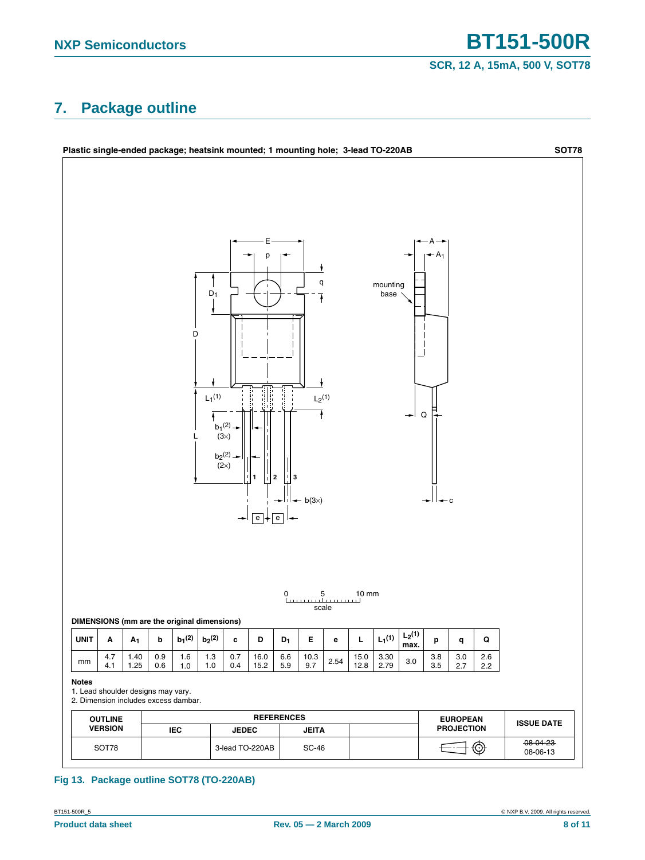### **SCR, 12 A, 15mA, 500 V, SOT78**

### <span id="page-7-0"></span>**7. Package outline**



### **Fig 13. Package outline SOT78 (TO-220AB)**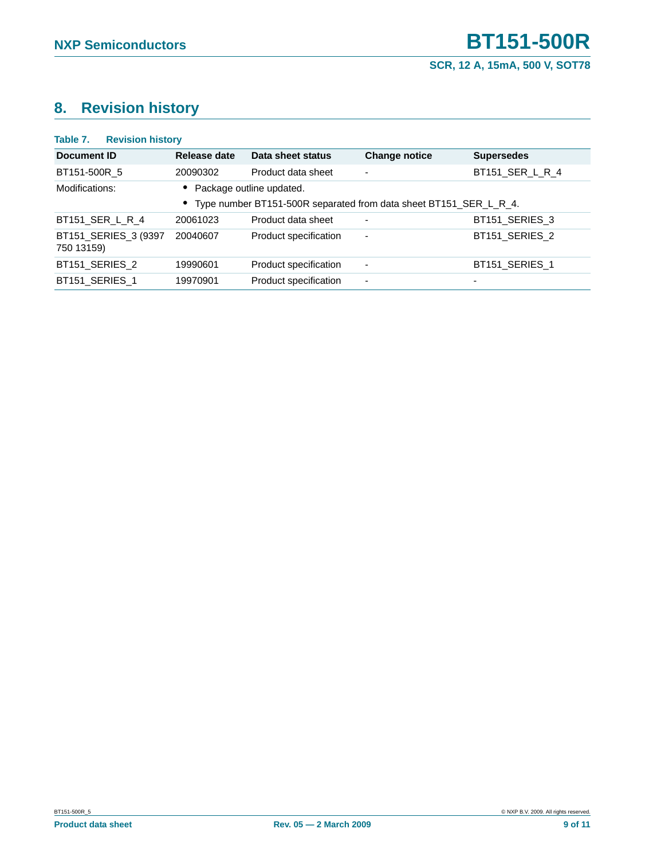## <span id="page-8-0"></span>**8. Revision history**

| Table 7.<br><b>Revision history</b> |              |                                                                                                 |                          |                   |
|-------------------------------------|--------------|-------------------------------------------------------------------------------------------------|--------------------------|-------------------|
| Document ID                         | Release date | Data sheet status                                                                               | <b>Change notice</b>     | <b>Supersedes</b> |
| BT151-500R 5                        | 20090302     | Product data sheet                                                                              | $\blacksquare$           | BT151 SER L R 4   |
| Modifications:                      |              | Package outline updated.<br>• Type number BT151-500R separated from data sheet BT151_SER_L_R_4. |                          |                   |
| BT151_SER_L_R_4                     | 20061023     | Product data sheet                                                                              | $\blacksquare$           | BT151 SERIES 3    |
| BT151_SERIES_3 (9397<br>750 13159)  | 20040607     | Product specification                                                                           | $\blacksquare$           | BT151 SERIES 2    |
| BT151 SERIES 2                      | 19990601     | Product specification                                                                           | $\overline{\phantom{a}}$ | BT151 SERIES 1    |
| BT151 SERIES 1                      | 19970901     | Product specification                                                                           | $\overline{\phantom{0}}$ |                   |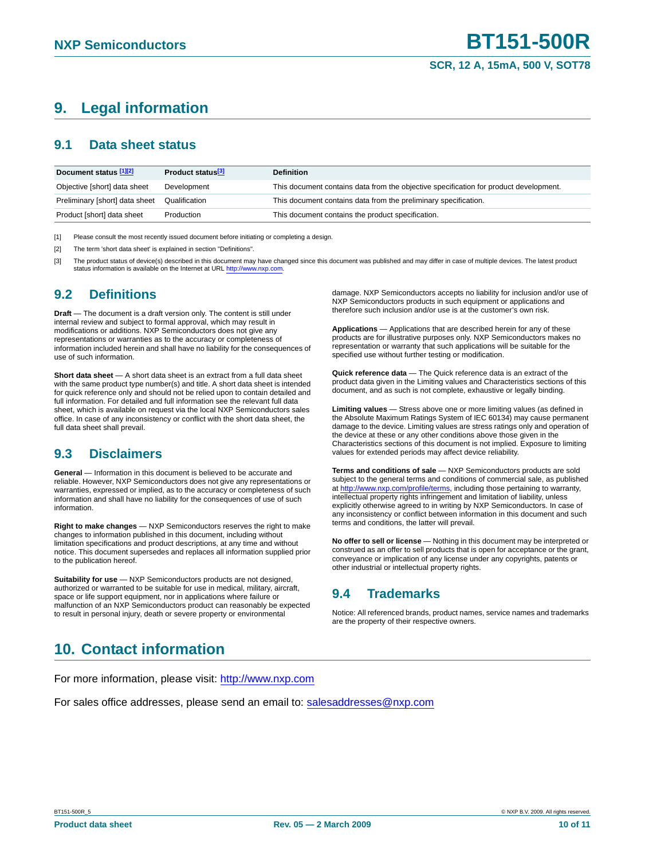## <span id="page-9-3"></span>**9. Legal information**

### <span id="page-9-4"></span>**9.1 Data sheet status**

| Product status <sup>[3]</sup> | <b>Definition</b>                                                                     |
|-------------------------------|---------------------------------------------------------------------------------------|
| Development                   | This document contains data from the objective specification for product development. |
| Qualification                 | This document contains data from the preliminary specification.                       |
| Production                    | This document contains the product specification.                                     |
|                               |                                                                                       |

<span id="page-9-0"></span>[1] Please consult the most recently issued document before initiating or completing a design.

<span id="page-9-1"></span>[2] The term 'short data sheet' is explained in section "Definitions".

<span id="page-9-2"></span>[3] The product status of device(s) described in this document may have changed since this document was published and may differ in case of multiple devices. The latest product status information is available on the Internet at URL http://www.nxp.com

### <span id="page-9-5"></span>**9.2 Definitions**

**Draft** — The document is a draft version only. The content is still under internal review and subject to formal approval, which may result in modifications or additions. NXP Semiconductors does not give any representations or warranties as to the accuracy or completeness of information included herein and shall have no liability for the consequences of use of such information.

**Short data sheet** — A short data sheet is an extract from a full data sheet with the same product type number(s) and title. A short data sheet is intended for quick reference only and should not be relied upon to contain detailed and full information. For detailed and full information see the relevant full data sheet, which is available on request via the local NXP Semiconductors sales office. In case of any inconsistency or conflict with the short data sheet, the full data sheet shall prevail.

### <span id="page-9-6"></span>**9.3 Disclaimers**

**General** — Information in this document is believed to be accurate and reliable. However, NXP Semiconductors does not give any representations or warranties, expressed or implied, as to the accuracy or completeness of such information and shall have no liability for the consequences of use of such information.

**Right to make changes** — NXP Semiconductors reserves the right to make changes to information published in this document, including without limitation specifications and product descriptions, at any time and without notice. This document supersedes and replaces all information supplied prior to the publication hereof.

**Suitability for use** - NXP Semiconductors products are not designed, authorized or warranted to be suitable for use in medical, military, aircraft, space or life support equipment, nor in applications where failure or malfunction of an NXP Semiconductors product can reasonably be expected to result in personal injury, death or severe property or environmental

#### damage. NXP Semiconductors accepts no liability for inclusion and/or use of NXP Semiconductors products in such equipment or applications and therefore such inclusion and/or use is at the customer's own risk.

**Applications** — Applications that are described herein for any of these products are for illustrative purposes only. NXP Semiconductors makes no representation or warranty that such applications will be suitable for the specified use without further testing or modification.

**Quick reference data** — The Quick reference data is an extract of the product data given in the Limiting values and Characteristics sections of this document, and as such is not complete, exhaustive or legally binding.

**Limiting values** — Stress above one or more limiting values (as defined in the Absolute Maximum Ratings System of IEC 60134) may cause permanent damage to the device. Limiting values are stress ratings only and operation of the device at these or any other conditions above those given in the Characteristics sections of this document is not implied. Exposure to limiting values for extended periods may affect device reliability.

Terms and conditions of sale - NXP Semiconductors products are sold subject to the general terms and conditions of commercial sale, as published at http://www.nxp.com/profile/terms, including those pertaining to warranty, intellectual property rights infringement and limitation of liability, unless explicitly otherwise agreed to in writing by NXP Semiconductors. In case of any inconsistency or conflict between information in this document and such terms and conditions, the latter will prevail.

**No offer to sell or license** — Nothing in this document may be interpreted or construed as an offer to sell products that is open for acceptance or the grant, conveyance or implication of any license under any copyrights, patents or other industrial or intellectual property rights.

### <span id="page-9-7"></span>**9.4 Trademarks**

Notice: All referenced brands, product names, service names and trademarks are the property of their respective owners.

## <span id="page-9-8"></span>**10. Contact information**

For more information, please visit: http://www.nxp.com

For sales office addresses, please send an email to: salesaddresses@nxp.com